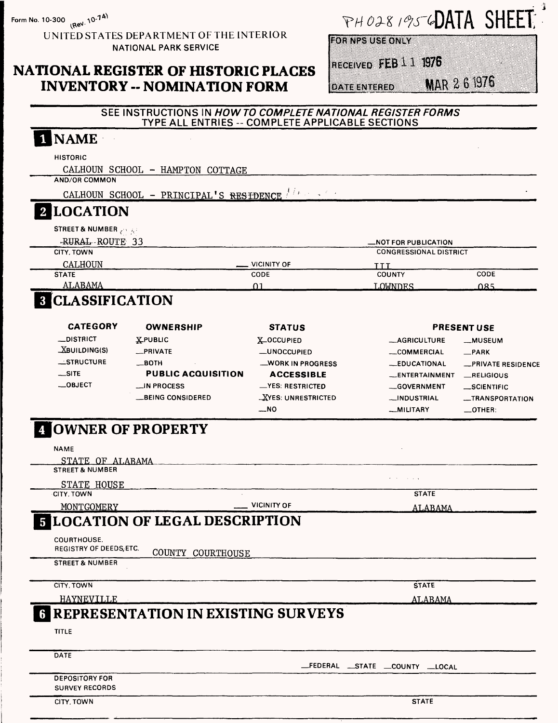Form No. 10-300 (Rev. 10-74)

UNITED STATES DEPARTMENT OF THE INTERIOR **NATIONAL PARK SERVICE** 

## NATIONAL REGISTER OF HISTORIC PLACES **INVENTORY -- NOMINATION FORM**

# PHO281956DATA SHEET

**FOR NPS USE ONLY** 

**DATE ENTERED** 

Received FEB 1 1 1976

MAR 261976

**RESIDENCE** 

|                                    | TYPE ALL ENTRIES -- COMPLETE APPLICABLE SECTIONS |                           |                                   |                          |
|------------------------------------|--------------------------------------------------|---------------------------|-----------------------------------|--------------------------|
| 1 NAME                             |                                                  |                           |                                   |                          |
| <b>HISTORIC</b>                    |                                                  |                           |                                   |                          |
|                                    | CALHOUN SCHOOL - HAMPTON COTTAGE                 |                           |                                   |                          |
| <b>AND/OR COMMON</b>               |                                                  |                           |                                   |                          |
|                                    | CALHOUN SCHOOL - PRINCIPAL'S RESIDENCE           |                           |                                   |                          |
| <b>2 LOCATION</b>                  |                                                  |                           |                                   |                          |
| <b>STREET &amp; NUMBER</b> And All |                                                  |                           |                                   |                          |
| -RURAL ROUTE 33                    |                                                  |                           | _NOT FOR PUBLICATION              |                          |
| CITY, TOWN                         |                                                  |                           | <b>CONGRESSIONAL DISTRICT</b>     |                          |
| CALHOUN                            |                                                  | VICINITY OF               | TTT                               |                          |
| <b>STATE</b>                       |                                                  | CODE                      | <b>COUNTY</b>                     | CODE                     |
| ALABAMA                            |                                                  | 01                        | LOWNDES                           | 085                      |
| <b>8 CLASSIFICATION</b>            |                                                  |                           |                                   |                          |
| <b>CATEGORY</b>                    | <b>OWNERSHIP</b>                                 | <b>STATUS</b>             |                                   | <b>PRESENT USE</b>       |
| <b>_DISTRICT</b>                   | <b>XPUBLIC</b>                                   | XOCCUPIED                 | <b>__AGRICULTURE</b>              | <b>__MUSEUM</b>          |
| $X$ BUILDING(S)                    | _PRIVATE                                         | _UNOCCUPIED               | __COMMERCIAL                      | $\_ PARK$                |
| $\equiv$ STRUCTURE                 | $\_$ BOTH                                        | WORK IN PROGRESS          | <b>_EDUCATIONAL</b>               | <b>_PRIVATE RESIDENG</b> |
| $\equiv$ SITE                      | <b>PUBLIC ACQUISITION</b>                        | <b>ACCESSIBLE</b>         | _ENTERTAINMENT                    | RELIGIOUS                |
| __OBJECT                           | __IN PROCESS                                     | <b>_YES: RESTRICTED</b>   | <b>GOVERNMENT</b>                 | _SCIENTIFIC              |
|                                    | __BEING CONSIDERED                               | <b>XYES: UNRESTRICTED</b> | __INDUSTRIAL                      | <b>__TRANSPORTATION</b>  |
|                                    |                                                  | __NO                      | -MILITARY                         | $\_$ OTHER:              |
| <b>A OWNER OF PROPERTY</b>         |                                                  |                           |                                   |                          |
| <b>NAME</b>                        |                                                  |                           |                                   |                          |
| STATE OF ALABAMA                   |                                                  |                           |                                   |                          |
| <b>STREET &amp; NUMBER</b>         |                                                  |                           |                                   |                          |
| STATE HOUSE                        |                                                  |                           |                                   |                          |
| <b>CITY, TOWN</b>                  |                                                  |                           | <b>STATE</b>                      |                          |
|                                    | <b>VICINITY OF</b><br>MONTGOMERY                 |                           | ALABAMA                           |                          |
|                                    | <b>LOCATION OF LEGAL DESCRIPTION</b>             |                           |                                   |                          |
| <b>COURTHOUSE.</b>                 |                                                  |                           |                                   |                          |
| REGISTRY OF DEEDS, ETC.            | COUNTY COURTHOUSE                                |                           |                                   |                          |
| <b>STREET &amp; NUMBER</b>         |                                                  |                           |                                   |                          |
| CITY, TOWN                         |                                                  |                           | <b>STATE</b>                      |                          |
| HAYNEVILLE                         |                                                  |                           | ALABAMA                           |                          |
|                                    | REPRESENTATION IN EXISTING SURVEYS               |                           |                                   |                          |
| <b>TITLE</b>                       |                                                  |                           |                                   |                          |
| <b>DATE</b>                        |                                                  |                           | _FEDERAL __STATE __COUNTY __LOCAL |                          |
| <b>DEDOCITORY COR</b>              |                                                  |                           |                                   |                          |

SEE INSTRUCTIONS IN HOW TO COMPLETE NATIONAL REGISTER FORMS

CITY, TOWN

**SURVEY RECORDS**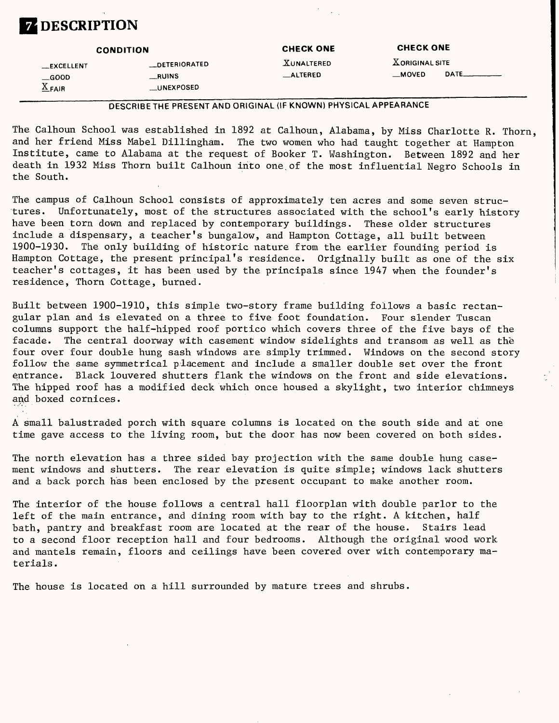

|                                                        | <b>CONDITION</b>                              | <b>CHECK ONE</b>                      | <b>CHECK ONE</b>                 |        |
|--------------------------------------------------------|-----------------------------------------------|---------------------------------------|----------------------------------|--------|
| __EXCELLENT<br>$\equiv$ GOOD<br>$\underline{X}_{FAIR}$ | __DETERIORATED<br>__RUINS<br><b>UNEXPOSED</b> | <b>XUNALTERED</b><br><b>__ALTERED</b> | <b>XORIGINAL SITE</b><br>__MOVED | DATE__ |

DESCRIBETHE PRESENT AND ORIGINAL (IF KNOWN) PHYSICAL APPEARANCE

The Calhoun School was established in 1892 at Calhoun, Alabama, by Miss Charlotte R. Thorn, and her friend Miss Mabel Dillingham. The two women who had taught together at Hampton Institute, came to Alabama at the request of Booker T. Washington. Between 1892 and her death in 1932 Miss Thorn built Calhoun into one.of the most influential Negro Schools in the South.

The campus of Calhoun School consists of approximately ten acres and some seven structures. Unfortunately, most of the structures associated with the school's early history have been torn down and replaced by contemporary buildings. These older structures include a dispensary, a teacher's bungalow, and Hampton Cottage, all built between 1900-1930. The only building of historic nature from the earlier founding period is Hampton Cottage, the present principal's residence. Originally built as one of the six teacher's cottages, it has been used by the principals since 1947 when the founder's residence, Thorn Cottage, burned.

Built between 1900-1910, this simple two-story frame building follows a basic rectangular plan and is elevated on a three to five foot foundation. Four slender Tuscan columns support the half-hipped roof portico which covers three of the five bays of the facade. The central doorway with casement window sidelights and transom as well as the four over four double hung sash windows are simply trimmed. Windows on the second story follow the same symmetrical placement and include a smaller double set over the front entrance. Black louvered shutters flank the windows on the front and side elevations. The hipped roof has a modified deck which once housed a skylight, two interior chimneys and boxed cornices.

A small balustraded porch with square columns is located on the south side and at one time gave access to the living room, but the door has now been covered on both sides.

The north elevation has a three sided bay projection with the same double hung casement windows and shutters. The rear elevation is quite simple; windows lack shutters and a back porch has been enclosed by the present occupant to make another room.

The interior of the house follows a central hall floorplan with double parlor to the left of the main entrance, and dining room with bay to the right. A kitchen, half bath, pantry and breakfast room are located at the rear of the house. Stairs lead to a second floor reception hall and four bedrooms. Although the original wood work and mantels remain, floors and ceilings have been covered over with contemporary materials.

The house is located on a hill surrounded by mature trees and shrubs.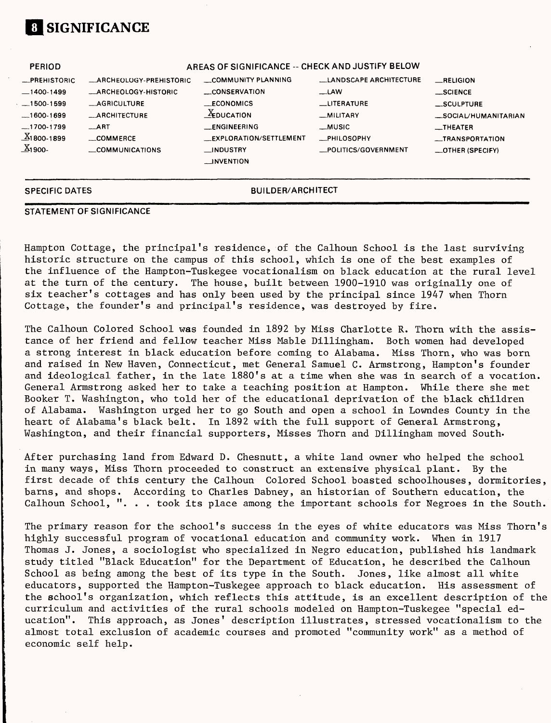

| <b>PERIOD</b>          | AREAS OF SIGNIFICANCE -- CHECK AND JUSTIFY BELOW |                                    |                               |                          |
|------------------------|--------------------------------------------------|------------------------------------|-------------------------------|--------------------------|
| <b>_PREHISTORIC</b>    | <b>_ARCHEOLOGY-PREHISTORIC</b>                   | COMMUNITY PLANNING                 | <b>LANDSCAPE ARCHITECTURE</b> | RELIGION                 |
| $-1400-1499$           | _ARCHEOLOGY-HISTORIC                             | __CONSERVATION                     | $\equiv$ LAW                  | __SCIENCE                |
| $-1500 - 1599$         | <b>__AGRICULTURE</b>                             | <b>ECONOMICS</b>                   | __LITERATURE                  | __SCULPTURE              |
| $-1600-1699$           | <b>ARCHITECTURE</b>                              | $\underline{X}_{\text{EDUCATION}}$ | -MILITARY                     | _SOCIAL/HUMANITARIAN     |
| $-1700-1799$           | $-$ ART                                          | <b>ENGINEERING</b>                 | __MUSIC                       | $_{-}$ THEATER           |
| $X_1$ 800-1899         | COMMERCE                                         | EXPLORATION/SETTLEMENT             | __PHILOSOPHY                  | __TRANSPORTATION         |
| $\underline{X}_1$ 900- | COMMUNICATIONS                                   | __INDUSTRY                         | _POLITICS/GOVERNMENT          | $\equiv$ OTHER (SPECIFY) |
|                        |                                                  | <b>LINVENTION</b>                  |                               |                          |
|                        |                                                  |                                    |                               |                          |
| <b>SPECIFIC DATES</b>  |                                                  | <b>BUILDER/ARCHITECT</b>           |                               |                          |

#### **STATEMENT OF SIGNIFICANCE**

Hampton Cottage, the principal's residence, of the Calhoun School is the last surviving historic structure on the campus of this school, which is one of the best examples of the influence of the Hampton-Tuskegee vocationalism on black education at the rural level at the turn of the century. The house, built between 1900-1910 was originally one of six teacher's cottages and has only been used by the principal since 1947 when Thorn Cottage, the founder's and principal's residence, was destroyed by fire.

The Calhoun Colored School was founded in 1892 by Miss Charlotte R. Thorn with the assistance of her friend and fellow teacher Miss Mable Dillingham. Both women had developed a strong interest in black education before coming to Alabama. Miss Thorn, who was born and raised in New Haven, Connecticut, met General Samuel C. Armstrong, Hampton's founder and ideological father, in the late 1880's at a time when she was in search of a vocation. General Armstrong asked her to take a teaching position at Hampton. While there she met Booker T. Washington, who told her of the educational deprivation of the black children Washington urged her to go South and open a school in Lowndes County in the heart of Alabama's black belt. In 1892 with the full support of General Armstrong, Washington, and their financial supporters, Misses Thorn and Dillingham moved South.

After purchasing land from Edward D. Chesnutt, a white land owner who helped the school in many ways, Miss Thorn proceeded to construct an extensive physical plant. By the first decade of this century the Calhoun Colored School boasted schoolhouses, dormitories, barns, and shops. According to Charles Dabney, an historian of Southern education, the Calhoun School, ". . . took its place among the important schools for Negroes in the South.

The primary reason for the school's success in the eyes of white educators was Miss Thorn's highly successful program of vocational education and community work. When in 1917 Thomas J. Jones, a sociologist who specialized in Negro education, published his landmark study titled "Black Education" for the Department of Education, he described the Calhoun School as being among the best of its type in the South. Jones, like almost all white educators, supported the Hampton-Tuskegee approach to black education. His assessment of the school's organization, which reflects this attitude, is an excellent description of the curriculum and activities of the rural schools modeled on Hampton-Tuskegee "special education". This approach, as Jones' description illustrates, stressed vocationalism to the almost total exclusion of academic courses and promoted "community work" as a method of economic self help.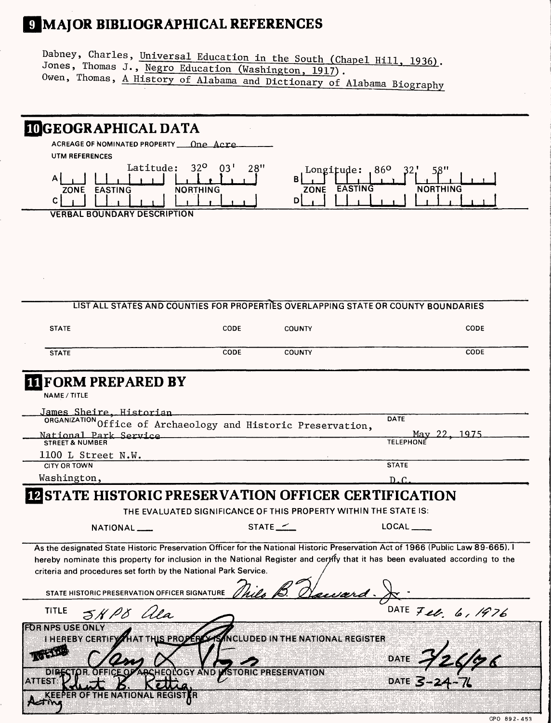# 9 MAJOR BIBLIOGRAPHICAL REFERENCES

Dabney, Charles, Universal Education in the South (Chapel Hill, 1936). Jones, Thomas J., Negro Education (Washington, 1917). Owen, Thomas, <u>A History of Alabama</u> and Dictionary of Alabama Biography

| <b>IDGEOGRAPHICAL DATA</b>                                                                     |                                                                  |                                                         |                                                                                                                                                                                                                                                                 |
|------------------------------------------------------------------------------------------------|------------------------------------------------------------------|---------------------------------------------------------|-----------------------------------------------------------------------------------------------------------------------------------------------------------------------------------------------------------------------------------------------------------------|
| ACREAGE OF NOMINATED PROPERTY 10ne Acre                                                        |                                                                  |                                                         |                                                                                                                                                                                                                                                                 |
| UTM REFERENCES                                                                                 |                                                                  |                                                         |                                                                                                                                                                                                                                                                 |
| Latitude:<br>A<br>ZONE EASTING<br>С                                                            | $32^{\circ}$<br>03'<br>28''<br><b>NORTHING</b>                   | Longitude: $.86o$<br><b>EASTING</b><br><b>ZONE</b><br>D | <b>NORTHING</b>                                                                                                                                                                                                                                                 |
| <b>VERBAL BOUNDARY DESCRIPTION</b>                                                             |                                                                  |                                                         |                                                                                                                                                                                                                                                                 |
|                                                                                                |                                                                  |                                                         |                                                                                                                                                                                                                                                                 |
|                                                                                                |                                                                  |                                                         |                                                                                                                                                                                                                                                                 |
|                                                                                                |                                                                  |                                                         |                                                                                                                                                                                                                                                                 |
|                                                                                                |                                                                  |                                                         |                                                                                                                                                                                                                                                                 |
|                                                                                                |                                                                  |                                                         |                                                                                                                                                                                                                                                                 |
|                                                                                                |                                                                  |                                                         |                                                                                                                                                                                                                                                                 |
|                                                                                                |                                                                  |                                                         | LIST ALL STATES AND COUNTIES FOR PROPERTIES OVERLAPPING STATE OR COUNTY BOUNDARIES                                                                                                                                                                              |
| <b>STATE</b>                                                                                   | CODE                                                             | <b>COUNTY</b>                                           | CODE                                                                                                                                                                                                                                                            |
|                                                                                                |                                                                  |                                                         |                                                                                                                                                                                                                                                                 |
| <b>STATE</b>                                                                                   | CODE                                                             | <b>COUNTY</b>                                           | CODE                                                                                                                                                                                                                                                            |
|                                                                                                |                                                                  |                                                         |                                                                                                                                                                                                                                                                 |
| <b>IT FORM PREPARED BY</b><br>NAME / TITLE                                                     |                                                                  |                                                         |                                                                                                                                                                                                                                                                 |
| James Sheire, Historian                                                                        |                                                                  |                                                         | DATE                                                                                                                                                                                                                                                            |
| ORGANIZATION Office of Archaeology and Historic Preservation,<br>National Park Service         |                                                                  |                                                         |                                                                                                                                                                                                                                                                 |
| <b>STREET &amp; NUMBER</b>                                                                     |                                                                  |                                                         | <b>TELEPHOI</b>                                                                                                                                                                                                                                                 |
| 1100 L Street N.W.                                                                             |                                                                  |                                                         |                                                                                                                                                                                                                                                                 |
| <b>CITY OR TOWN</b>                                                                            |                                                                  |                                                         | <b>STATE</b>                                                                                                                                                                                                                                                    |
| Washington,                                                                                    |                                                                  |                                                         | D.C                                                                                                                                                                                                                                                             |
| STATE HISTORIC PRESERVATION OFFICER CERTIFICATION                                              |                                                                  |                                                         |                                                                                                                                                                                                                                                                 |
|                                                                                                | THE EVALUATED SIGNIFICANCE OF THIS PROPERTY WITHIN THE STATE IS: |                                                         |                                                                                                                                                                                                                                                                 |
| NATIONAL __                                                                                    |                                                                  | STATE $\angle$                                          | $\mathsf{LOCAL} \_\_$                                                                                                                                                                                                                                           |
|                                                                                                |                                                                  |                                                         |                                                                                                                                                                                                                                                                 |
| criteria and procedures set forth by the National Park Service.                                |                                                                  |                                                         | As the designated State Historic Preservation Officer for the National Historic Preservation Act of 1966 (Public Law 89-665). I<br>hereby nominate this property for inclusion in the National Register and certify that it has been evaluated according to the |
| STATE HISTORIC PRESERVATION OFFICER SIGNATURE                                                  |                                                                  | rivard.                                                 |                                                                                                                                                                                                                                                                 |
| <b>TITLE</b><br>5HP8 ala                                                                       |                                                                  |                                                         | DATE Feb. 6, 1976                                                                                                                                                                                                                                               |
| <b>ROR NESLUSE ONLY</b><br>I HEREBY CERTIFY HAT THIS PROPER SANCLUDED IN THE NATIONAL REGISTER |                                                                  |                                                         |                                                                                                                                                                                                                                                                 |
|                                                                                                |                                                                  |                                                         |                                                                                                                                                                                                                                                                 |
|                                                                                                |                                                                  |                                                         |                                                                                                                                                                                                                                                                 |
| dibe<br>2388338                                                                                | ACHEOLOGY AND LISTORIC PRESERVATION                              |                                                         | DATE 726/76                                                                                                                                                                                                                                                     |
|                                                                                                |                                                                  |                                                         |                                                                                                                                                                                                                                                                 |
| I HENAHONAU HECISI                                                                             | 18                                                               |                                                         |                                                                                                                                                                                                                                                                 |

GPO 892-453